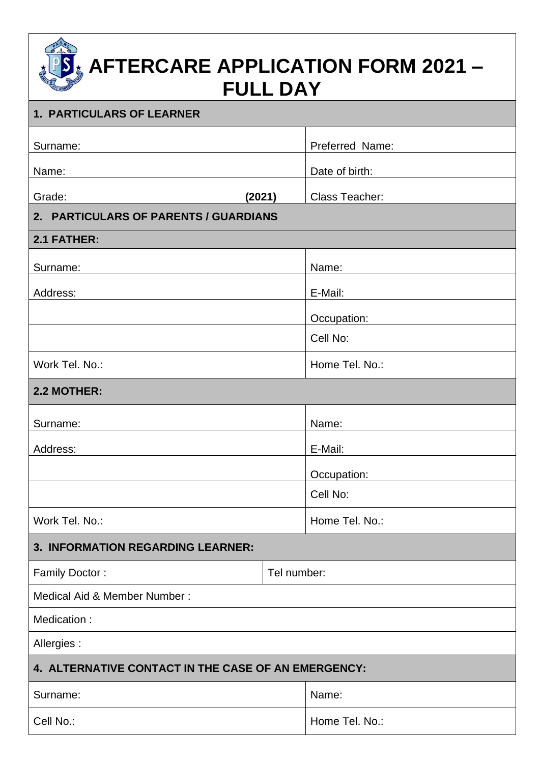# **AFTERCARE APPLICATION FORM 2021 – FULL DAY**

| <b>1. PARTICULARS OF LEARNER</b>                    |             |                       |  |  |  |  |
|-----------------------------------------------------|-------------|-----------------------|--|--|--|--|
| Surname:                                            |             | Preferred Name:       |  |  |  |  |
| Name:                                               |             | Date of birth:        |  |  |  |  |
| Grade:<br>(2021)                                    |             | <b>Class Teacher:</b> |  |  |  |  |
| 2. PARTICULARS OF PARENTS / GUARDIANS               |             |                       |  |  |  |  |
| 2.1 FATHER:                                         |             |                       |  |  |  |  |
| Surname:                                            |             | Name:                 |  |  |  |  |
| Address:                                            |             | E-Mail:               |  |  |  |  |
|                                                     |             | Occupation:           |  |  |  |  |
|                                                     |             | Cell No:              |  |  |  |  |
| Work Tel. No.:                                      |             | Home Tel. No.:        |  |  |  |  |
| 2.2 MOTHER:                                         |             |                       |  |  |  |  |
|                                                     |             |                       |  |  |  |  |
| Surname:                                            |             | Name:                 |  |  |  |  |
| Address:                                            |             | E-Mail:               |  |  |  |  |
|                                                     |             | Occupation:           |  |  |  |  |
|                                                     |             | Cell No:              |  |  |  |  |
| Work Tel. No.:                                      |             | Home Tel. No.:        |  |  |  |  |
| 3. INFORMATION REGARDING LEARNER:                   |             |                       |  |  |  |  |
| Family Doctor:                                      | Tel number: |                       |  |  |  |  |
| Medical Aid & Member Number:                        |             |                       |  |  |  |  |
| Medication:                                         |             |                       |  |  |  |  |
| Allergies:                                          |             |                       |  |  |  |  |
| 4. ALTERNATIVE CONTACT IN THE CASE OF AN EMERGENCY: |             |                       |  |  |  |  |
| Surname:                                            |             | Name:                 |  |  |  |  |
| Cell No.:                                           |             | Home Tel. No.:        |  |  |  |  |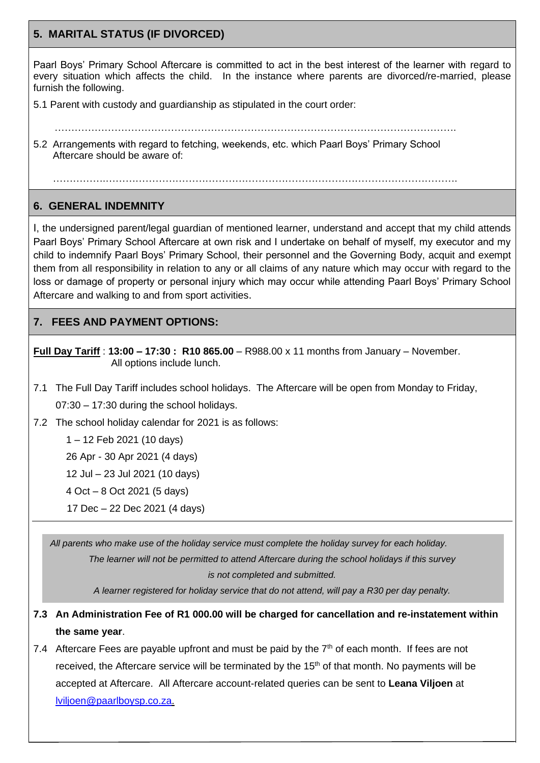## **5. MARITAL STATUS (IF DIVORCED)**

Paarl Boys' Primary School Aftercare is committed to act in the best interest of the learner with regard to every situation which affects the child. In the instance where parents are divorced/re-married, please furnish the following.

- 5.1 Parent with custody and guardianship as stipulated in the court order:
- …………………………………………………………………………………………………………. 5.2 Arrangements with regard to fetching, weekends, etc. which Paarl Boys' Primary School Aftercare should be aware of:

…………….…………………………………………………………………………………………….

### **6. GENERAL INDEMNITY**

 $\overline{a}$ 

I, the undersigned parent/legal guardian of mentioned learner, understand and accept that my child attends Paarl Boys' Primary School Aftercare at own risk and I undertake on behalf of myself, my executor and my child to indemnify Paarl Boys' Primary School, their personnel and the Governing Body, acquit and exempt them from all responsibility in relation to any or all claims of any nature which may occur with regard to the loss or damage of property or personal injury which may occur while attending Paarl Boys' Primary School Aftercare and walking to and from sport activities.

## **7. FEES AND PAYMENT OPTIONS:**

**Full Day Tariff** : **13:00 – 17:30 : R10 865.00** – R988.00 x 11 months from January – November. All options include lunch.

- 7.1 The Full Day Tariff includes school holidays. The Aftercare will be open from Monday to Friday, 07:30 – 17:30 during the school holidays.
- 7.2 The school holiday calendar for 2021 is as follows:

1 – 12 Feb 2021 (10 days)

26 Apr - 30 Apr 2021 (4 days)

12 Jul – 23 Jul 2021 (10 days)

4 Oct – 8 Oct 2021 (5 days)

17 Dec – 22 Dec 2021 (4 days)

 *All parents who make use of the holiday service must complete the holiday survey for each holiday. The learner will not be permitted to attend Aftercare during the school holidays if this survey is not completed and submitted.*

*A learner registered for holiday service that do not attend, will pay a R30 per day penalty.*

- **7.3 An Administration Fee of R1 000.00 will be charged for cancellation and re-instatement within the same year**.
- 7.4 Aftercare Fees are payable upfront and must be paid by the  $7<sup>th</sup>$  of each month. If fees are not received, the Aftercare service will be terminated by the  $15<sup>th</sup>$  of that month. No payments will be accepted at Aftercare. All Aftercare account-related queries can be sent to **Leana Viljoen** at [lviljoen@paarlboysp.co.za.](mailto:lviljoen@paarlboysp.co.za)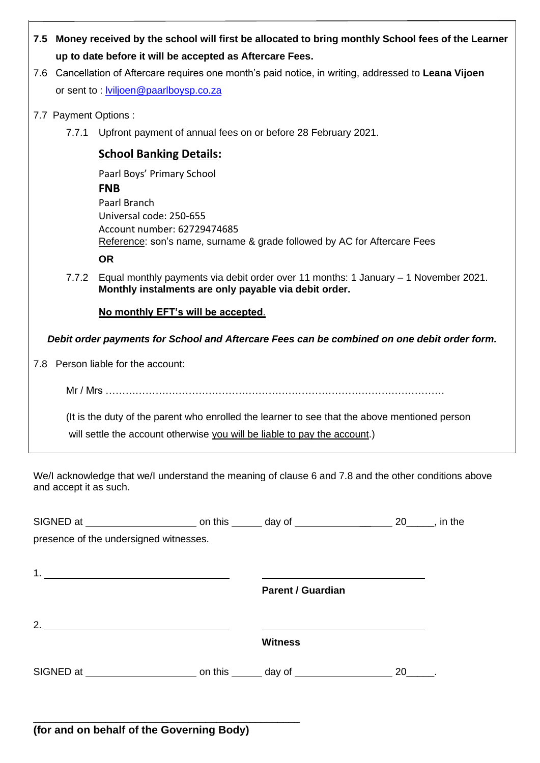| 7.5 Money received by the school will first be allocated to bring monthly School fees of the Learner |
|------------------------------------------------------------------------------------------------------|
| up to date before it will be accepted as Aftercare Fees.                                             |

- 7.6 Cancellation of Aftercare requires one month's paid notice, in writing, addressed to **Leana Vijoen** or sent to : [lviljoen@paarlboysp.co.za](mailto:lviljoen@paarlboysp.co.za)
- 7.7 Payment Options :
	- 7.7.1 Upfront payment of annual fees on or before 28 February 2021.

## **School Banking Details:**

Paarl Boys' Primary School **FNB** Paarl Branch Universal code: 250-655 Account number: 62729474685 Reference: son's name, surname & grade followed by AC for Aftercare Fees **OR**

7.7.2 Equal monthly payments via debit order over 11 months: 1 January – 1 November 2021. **Monthly instalments are only payable via debit order.** 

**No monthly EFT's will be accepted**.

*Debit order payments for School and Aftercare Fees can be combined on one debit order form.*

7.8 Person liable for the account:

 $Mr / Mrs$  .............

 (It is the duty of the parent who enrolled the learner to see that the above mentioned person will settle the account otherwise you will be liable to pay the account.)

We/I acknowledge that we/I understand the meaning of clause 6 and 7.8 and the other conditions above and accept it as such.

| presence of the undersigned witnesses. |                          |  |  |
|----------------------------------------|--------------------------|--|--|
|                                        |                          |  |  |
|                                        |                          |  |  |
|                                        | <b>Parent / Guardian</b> |  |  |
|                                        |                          |  |  |
| 2. $\qquad \qquad$                     | <b>Witness</b>           |  |  |
|                                        |                          |  |  |
|                                        |                          |  |  |

\_\_\_\_\_\_\_\_\_\_\_\_\_\_\_\_\_\_\_\_\_\_\_\_\_\_\_\_\_\_\_\_\_\_\_\_\_\_\_\_\_\_\_\_\_\_\_\_